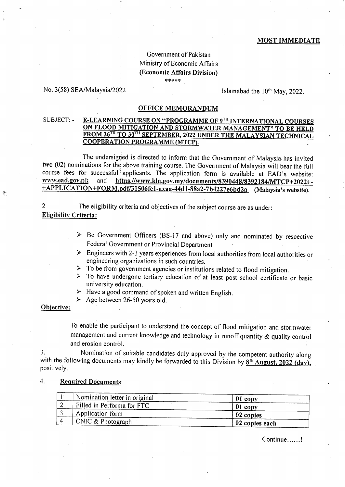#### **MOST IMMEDIATE**

## Government of Pakistan Ministry of Economic Affairs (Economic Affairs Division) \*\*\*\*\*

### No. 3(58) SEA/Malaysia/2022

Islamabad the  $10<sup>th</sup>$  May, 2022.

### **OFFICE MEMORANDUM**

E-LEARNING COURSE ON "PROGRAMME OF 9TH INTERNATIONAL COURSES SUBJECT: -ON FLOOD MITIGATION AND STORMWATER MANAGEMENT" TO BE HELD FROM 26<sup>TH</sup> TO 30<sup>TH</sup> SEPTEMBER, 2022 UNDER THE MALAYSIAN TECHNICAL **COOPERATION PROGRAMME (MTCP).** 

The undersigned is directed to inform that the Government of Malaysia has invited two (02) nominations for the above training course. The Government of Malaysia will bear the full course fees for successful applicants. The application form is available at EAD's website: www.ead.gov.pk and https.//www.kln.gov.my/documents/8390448/8392184/MTCP+2022+-+APPLICATION+FORM.pdf/31506fe1-axaa-44d1-88a2-7b4227e6bd2a (Malaysia's website).

 $\overline{2}$ The eligibility criteria and objectives of the subject course are as under: **Eligibility Criteria:** 

- $\triangleright$  Be Government Officers (BS-17 and above) only and nominated by respective Federal Government or Provincial Department
- $\triangleright$  Engineers with 2-3 years experiences from local authorities from local authorities or engineering organizations in such countries.
- $\triangleright$  To be from government agencies or institutions related to flood mitigation.
- > To have undergone tertiary education of at least post school certificate or basic university education.
- $\triangleright$  Have a good command of spoken and written English.
- $\blacktriangleright$  Age between 26-50 years old.

#### Objective:

 $\frac{1}{2}$  .

To enable the participant to understand the concept of flood mitigation and stormwater management and current knowledge and technology in runoff quantity & quality control and erosion control.

Nomination of suitable candidates duly approved by the competent authority along 3. with the following documents may kindly be forwarded to this Division by  $8^{th}$  August, 2022 (day), positively.

#### 4. **Required Documents**

| Nomination letter in original | $01$ copy      |
|-------------------------------|----------------|
| Filled in Performa for FTC    | $01$ copy      |
| Application form              | 02 copies      |
| CNIC & Photograph             | 02 copies each |

Continue......!